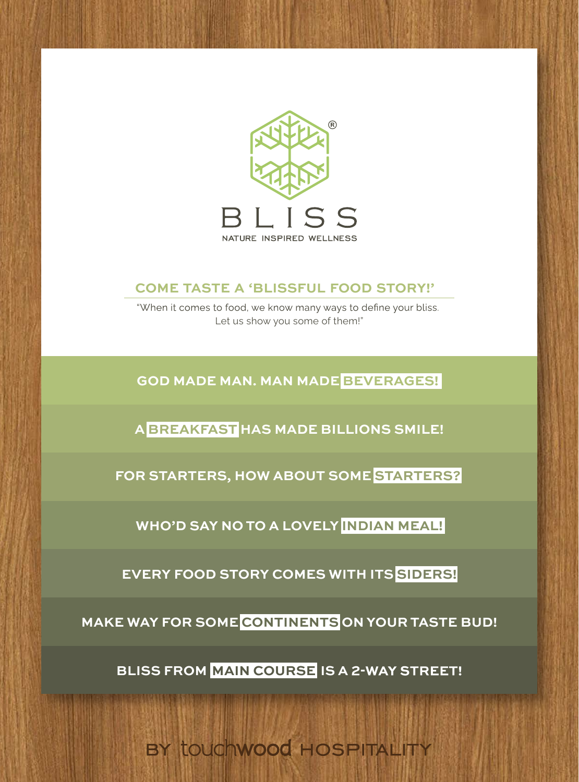

#### Rajasthani Bhindi **EL ISSELIL FOOD STOPY** 216/- Bhindi Do Pyaza Russian Salad  $\stackrel{\cdot}{\equiv}$ U FOOD STO  $\equiv$ Rawa/Pineapple Sheera  $\frac{4}{10}$ COME TASTE A 'BLISSFUL FOOD STORY!' **COME TASTE A 'BLISSFUL FOOD STO MOCKTAILS COME TASTE A 'BLISSFUL FOOD STORY!'**

Baigan Masala  $, we$ Let us show you some of them!" mes to food, we know many ways to define Choice Of Pasta - Penne, Fusilli,

288/-

97/-

Veg Jhilmili

Onion Uttappa

Aloo Chat

GOD MADE MAN. MAN MADE <mark>BEVERAGES!</mark> Veg. Patiyala 1. MAN MADE <mark>BEVER.</mark><br>. DE BEVERA Onion Rice 2400 GOD MADE MAN. MAN MADE <mark>BEVERAGES!</mark> Paneer Chilly Dry 343/- Paneer Mamtai Dry Cheese Chilly Dosa Sesame Toast Mushroom Uttappa 92/-92/-130/- 140/- **GOD MADE MAN. MAN MADE BEVERAGES!**

Garlic Fry

Paper Dosa

132/-

195/-389/-160/-

252/-

1A) Vega Chesse Burger And <mark>Breakfast</mark> Has Made Billions SMIL 1A) <mark>: BILLI</mark>UN Hara Bhara Kabab and A<mark>bre</mark> **A BREAKFAST HAS MADE BILLIONS SMILE!**

Aloo Jeera 208/- Dum Aloo Banarasi 144/- Cheese Chilly ToastPeanut Fry Mix Veg Pakoda Gujarati Dal 192/-276/-207/-Dal Makhani 276/-168/-180/-206/-**DAL FOR STARTERS, HOW ABOUT SOME STARTERS?** 

Paneer Bhurji Paneer Pasanda  $\overline{\phantom{a}}$ 336/- Paneer Patiyala **WHO'D SAY NO TO A LOVELY <mark>INDIAN MEAL!</mark>** 

Panel Tikka Masala Kabupatén Tika Masala Indonesia Kabu 2R) **EVERY FOOD STORY COMES WITH ITS SIDERS!** 

**MAKE WAY FOR SOME CONTINENTS ON YOUR TASTE BUD!** 

**BLISS FROM MAIN COURSE IS A 2-WAY STREET!** 

BY touchwood HOSPITALITY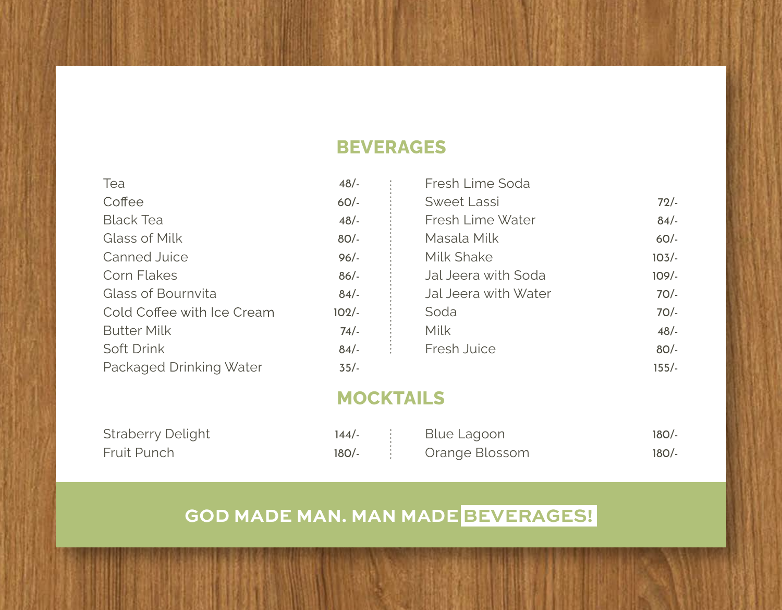#### **BEVERAGES**

| Tea                        | 48/     | Fresh Lime Soda      |          |
|----------------------------|---------|----------------------|----------|
| Coffee                     | $60/-$  | Sweet Lassi          | 72/      |
| <b>Black Tea</b>           | 48/     | Fresh Lime Water     | 84/      |
| Glass of Milk              | $80/-$  | Masala Milk          | $60/-$   |
| Canned Juice               | $96/-$  | Milk Shake           | $103/-$  |
| Corn Flakes                | $86/-$  | Jal Jeera with Soda  | $109/$ - |
| Glass of Bournvita         | 84/     | Jal Jeera with Water | $70/-$   |
| Cold Coffee with Ice Cream | $102/-$ | Soda                 | $70/-$   |
| <b>Butter Milk</b>         | $74/-$  | Milk                 | 48/      |
| Soft Drink                 | 84/     | Fresh Juice          | $80/-$   |
| Packaged Drinking Water    | $35/-$  |                      | $155/-$  |

#### **MOCKTAILS**

| <b>Straberry Delight</b> |  | $144/-$ : Blue Lagoon    | 180/- |
|--------------------------|--|--------------------------|-------|
| Fruit Punch              |  | $180/-$ : Orange Blossom | 180/- |

## **GOD MADE MAN. MAN MADE BEVERAGES!**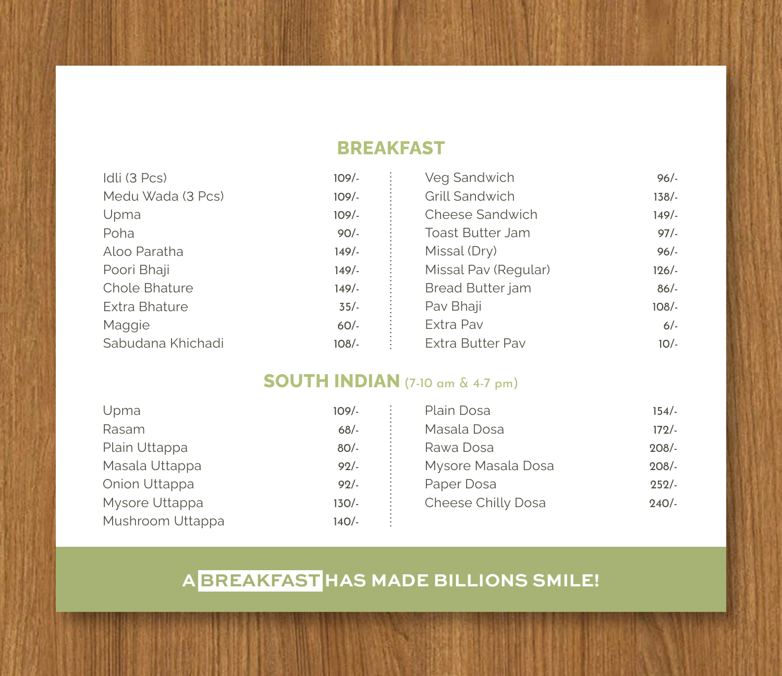#### **BREAKFAST**

| Idli (3 Pcs)         | $109/-$ | Veg Sandwich            | $96/-$  |
|----------------------|---------|-------------------------|---------|
| Medu Wada (3 Pcs)    | $109/-$ | Grill Sandwich          | $138/-$ |
| Upma                 | $109/-$ | Cheese Sandwich         | 149/    |
| Poha                 | $90/-$  | <b>Toast Butter Jam</b> | 97/1    |
| Aloo Paratha         | 149/-   | Missal (Dry)            | $96/-$  |
| Poori Bhaji          | 149/    | Missal Pav (Regular)    | $126/-$ |
| <b>Chole Bhature</b> | 149/    | <b>Bread Butter jam</b> | $86/-$  |
| Extra Bhature        | $35/-$  | Pav Bhaji               | $108/-$ |
| Maggie               | $60/-$  | Extra Pav               | $6/-$   |
| Sabudana Khichadi    | 108/-   | <b>Extra Butter Pav</b> | $10/-$  |
|                      |         |                         |         |

#### **SOUTH INDIAN** (7-10 am & 4-7 pm)

| Upma             | $109/-$ | Plain Dosa         | $154/-$ |
|------------------|---------|--------------------|---------|
| Rasam            | $68/-$  | Masala Dosa        | $172/-$ |
| Plain Uttappa    | $80/-$  | Rawa Dosa          | $208/-$ |
| Masala Uttappa   | $92/-$  | Mysore Masala Dosa | $208/-$ |
| Onion Uttappa    | 92/     | Paper Dosa         | $252/-$ |
| Mysore Uttappa   | $130/-$ | Cheese Chilly Dosa | $240/-$ |
| Mushroom Uttappa | 140/-   |                    |         |

**A BREAKFAST HAS MADE BILLIONS SMILE!**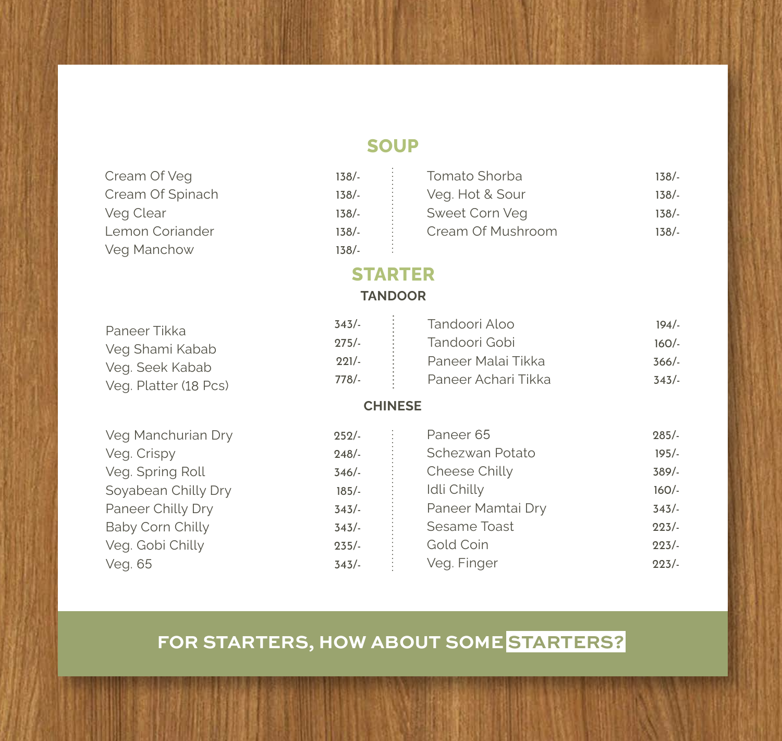#### **SOUP**

| Cream Of Veg<br>Cream Of Spinach<br>Veg Clear<br>Lemon Coriander<br>Veg Manchow | $138/-$<br>$138/-$<br>$138/-$<br>$138/-$<br>$138/-$     | Tomato Shorba<br>Veg. Hot & Sour<br>Sweet Corn Veg<br>Cream Of Mushroom     | $138/-$<br>$138/-$<br>$138/-$<br>$138/-$ |
|---------------------------------------------------------------------------------|---------------------------------------------------------|-----------------------------------------------------------------------------|------------------------------------------|
|                                                                                 | <b>STARTER</b>                                          |                                                                             |                                          |
|                                                                                 | <b>TANDOOR</b>                                          |                                                                             |                                          |
| Paneer Tikka<br>Veg Shami Kabab<br>Veg. Seek Kabab<br>Veg. Platter (18 Pcs)     | 343/<br>$275/-$<br>$221/-$<br>$778/-$<br><b>CHINESE</b> | Tandoori Aloo<br>Tandoori Gobi<br>Paneer Malai Tikka<br>Paneer Achari Tikka | $194/-$<br>$160/-$<br>$366/-$<br>343/    |
|                                                                                 |                                                         |                                                                             |                                          |
| Veg Manchurian Dry                                                              | 252/                                                    | Paneer 65                                                                   | $285/-$                                  |
| Veg. Crispy                                                                     | $248/-$                                                 | Schezwan Potato                                                             | $195/-$                                  |
| Veg. Spring Roll                                                                | 346/                                                    | Cheese Chilly                                                               | 389/                                     |
| Soyabean Chilly Dry                                                             | $185/-$                                                 | Idli Chilly                                                                 | $160/-$                                  |
| Paneer Chilly Dry                                                               | 343/                                                    | Paneer Mamtai Dry                                                           | 343/                                     |
| Baby Corn Chilly                                                                | 343/                                                    | Sesame Toast                                                                | 223/                                     |
| Veg. Gobi Chilly                                                                | $235/-$                                                 | Gold Coin                                                                   | 223/                                     |
| Veg. 65                                                                         | 343/                                                    | Veg. Finger                                                                 | 223/                                     |

### **FOR STARTERS, HOW ABOUT SOME STARTERS?**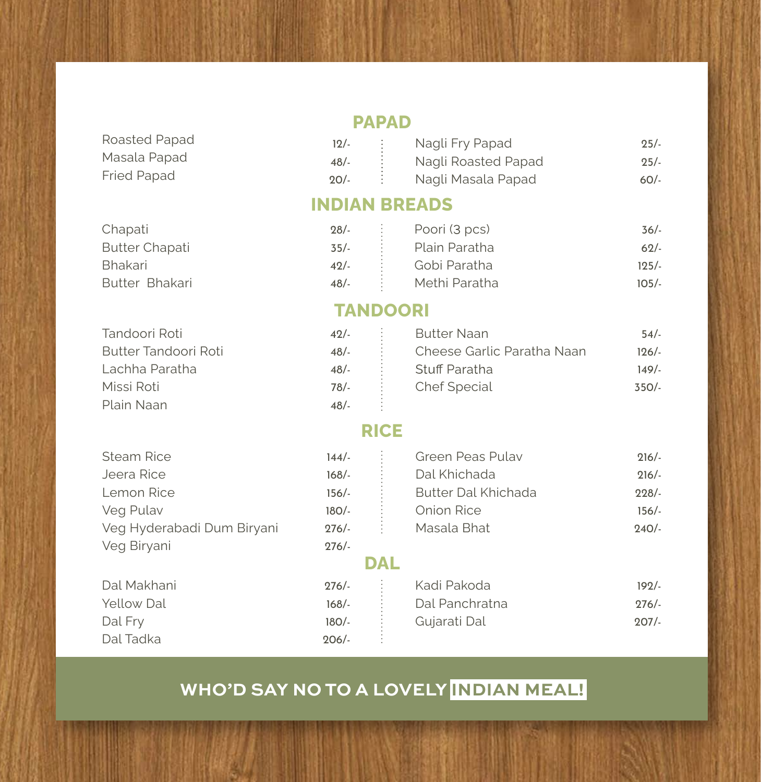| Roasted Papad      |  |
|--------------------|--|
| Masala Papad       |  |
| <b>Fried Papad</b> |  |

Tandoori Roti

Missi Roti Plain Naan

Butter Tandoori Roti Lachha Paratha

#### **PAPAD**

| $12/-$ |   | Nagli Fry Papad     | $25/-$ |
|--------|---|---------------------|--------|
| 48/    | ÷ | Nagli Roasted Papad | $25/-$ |
| $20/-$ |   | Nagli Masala Papad  | $60/-$ |

#### **INDIAN BREADS**

| Chapati               | $28/-$                             | Poori (3 pcs)<br>and the same        | 36/  |
|-----------------------|------------------------------------|--------------------------------------|------|
| <b>Butter Chapati</b> | $35/-$<br><b>Contract Contract</b> | Plain Paratha                        | 62/  |
| Bhakari               | $42/-$                             | Gobi Paratha<br><b>Service State</b> | 125/ |
| Butter Bhakari        | 48/-                               | Methi Paratha                        | 105/ |

#### **TANDOORI**

| 42/ | <b>Butter Naan</b>         | 54/  |
|-----|----------------------------|------|
| 48/ | Cheese Garlic Paratha Naan | 126/ |
| 48/ | Stuff Paratha              | 149/ |
| 78/ | Chef Special               | 350/ |
| 48/ |                            |      |

#### **RICE**

| <b>Steam Rice</b>          | 144/    | Green Peas Pulay           | 216/ |
|----------------------------|---------|----------------------------|------|
| Jeera Rice                 | $168/-$ | Dal Khichada               | 216/ |
| Lemon Rice                 | $156/-$ | <b>Butter Dal Khichada</b> | 228/ |
| Veg Pulav                  | $180/-$ | Onion Rice                 | 156/ |
| Veg Hyderabadi Dum Biryani | $276/-$ | Masala Bhat                | 240/ |
| Veg Biryani                | $276/-$ |                            |      |
|                            |         | <b>DAL</b>                 |      |
| Dal Makhani                | $276/-$ | Kadi Pakoda                | 192/ |
| Yellow Dal                 | $168/-$ | Dal Panchratna             | 276/ |
| Dal Fry                    | $180/-$ | Gujarati Dal               | 207/ |
| Dal Tadka                  | $206/-$ |                            |      |

### **WHO'D SAY NO TO A LOVELY INDIAN MEAL!**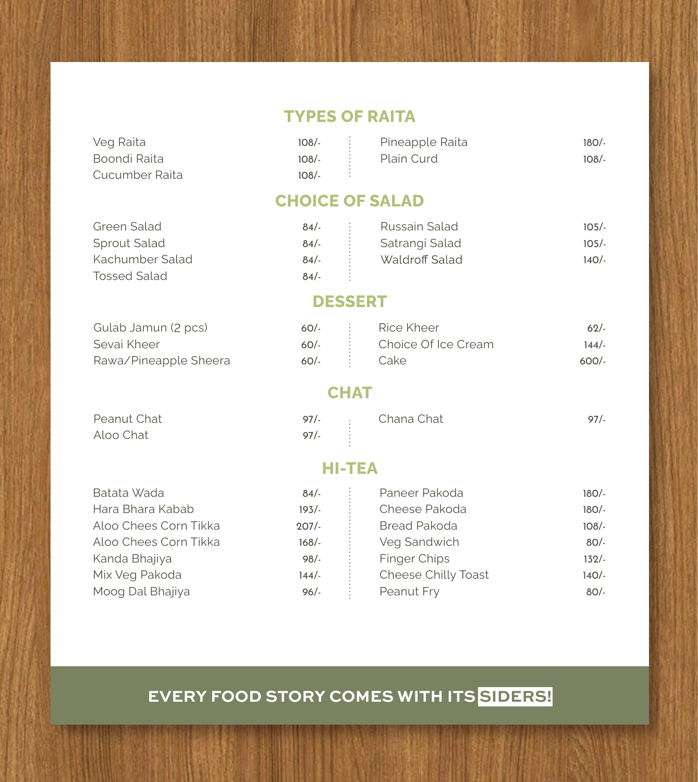#### **TYPES OF RAITA**

| Veg Raita      |         | $108$ . $\vdots$ Pineapple Raita | 180/- |
|----------------|---------|----------------------------------|-------|
| Boondi Raita   |         | 108/- : Plain Curd               | 108/- |
| Cucumber Raita | $108/-$ |                                  |       |

#### **CHOICE OF SALAD**

Green Salad Sprout Salad Kachumber Salad Tossed Salad

Peanut Chat Aloo Chat

| $84/-$ |           | Russain Salad  | $105/-$ |
|--------|-----------|----------------|---------|
| 84/-   | $\bullet$ | Satrangi Salad | $105/-$ |
| $84/-$ |           | Waldroff Salad | $140/-$ |
| 84/    |           |                |         |

#### **DESSERT**

| Gulab Jamun (2 pcs)   |             | $60/-$ : Rice Kheer        | 62/   |
|-----------------------|-------------|----------------------------|-------|
| Sevai Kheer           |             | 60/- : Choice Of Ice Cream | 144/- |
| Rawa/Pineapple Sheera | 60/- : Cake |                            | 600/  |

#### **CHAT**

| 97/ | Chana Chat | 97/ |
|-----|------------|-----|
| 97/ |            |     |

#### **HI-TEA**

| Batata Wada           | 84/      | Paneer Pakoda       | $180/-$ |
|-----------------------|----------|---------------------|---------|
| Hara Bhara Kabab      | 193/     | Cheese Pakoda       | $180/-$ |
| Aloo Chees Corn Tikka | $207/$ - | <b>Bread Pakoda</b> | $108/-$ |
| Aloo Chees Corn Tikka | $168/-$  | Veg Sandwich        | 80/-    |
| Kanda Bhajiya         | $98/-$   | Finger Chips        | $132/-$ |
| Mix Veg Pakoda        | $144/-$  | Cheese Chilly Toast | 140/-   |
| Moog Dal Bhajiya      | $96/-$   | Peanut Fry          | 80/-    |
|                       |          |                     |         |

### **EVERY FOOD STORY COMES WITH ITS SIDERS!**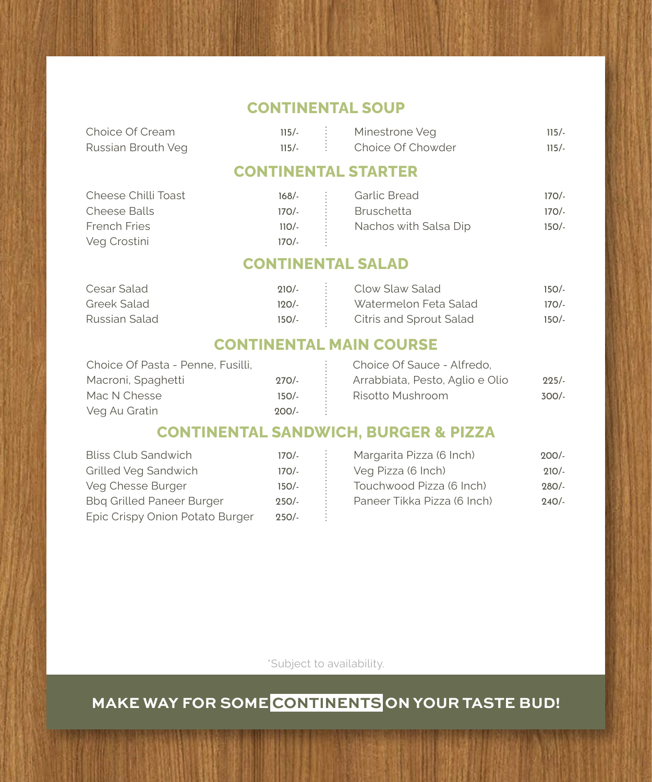#### **CONTINENTAL SOUP**

| Choice Of Cream    |  | $115/-$ : Minestrone Veg    | $115/-$ |
|--------------------|--|-----------------------------|---------|
| Russian Brouth Veg |  | $115/-$ : Choice Of Chowder | $115/-$ |

#### **CONTINENTAL STARTER**

| Cheese Chilli Toast | 168/-   | Garlic Bread          | $170/-$ |
|---------------------|---------|-----------------------|---------|
| Cheese Balls        | 170/-   | Bruschetta            | $170/-$ |
| French Fries        | $110/-$ | Nachos with Salsa Dip | $150/-$ |
| Veg Crostini        | $170/-$ |                       |         |

**CONTINENTAL SALAD**

| Cesar Salad   | 210/- : Clow Slaw Salad         | $150/-$ |
|---------------|---------------------------------|---------|
| Greek Salad   | 120/- : Watermelon Feta Salad   | $170/-$ |
| Russian Salad | 150/- : Citris and Sprout Salad | $150/-$ |

#### **CONTINENTAL MAIN COURSE**

| Choice Of Pasta - Penne, Fusilli, |         | Choice Of Sauce - Alfredo,      |         |
|-----------------------------------|---------|---------------------------------|---------|
| Macroni, Spaghetti                | $270/-$ | Arrabbiata, Pesto, Aglio e Olio | $225/-$ |
| Mac N Chesse                      | $150/-$ | Risotto Mushroom                | $300/-$ |
| Veg Au Gratin                     | $200/-$ |                                 |         |

#### **CONTINENTAL SANDWICH, BURGER & PIZZA**

| <b>Bliss Club Sandwich</b>       | $170/-$ | Margarita Pizza (6 Inch)    | $200/-$ |
|----------------------------------|---------|-----------------------------|---------|
| Grilled Veg Sandwich             | $170/-$ | Veg Pizza (6 Inch)          | $210/-$ |
| Veg Chesse Burger                | $150/-$ | Touchwood Pizza (6 Inch)    | $280/-$ |
| <b>Bbg Grilled Paneer Burger</b> | $250/-$ | Paneer Tikka Pizza (6 Inch) | $240/-$ |
| Epic Crispy Onion Potato Burger  | $250/-$ |                             |         |

\*Subject to availability.

### **MAKE WAY FOR SOME CONTINENTS ON YOUR TASTE BUD!**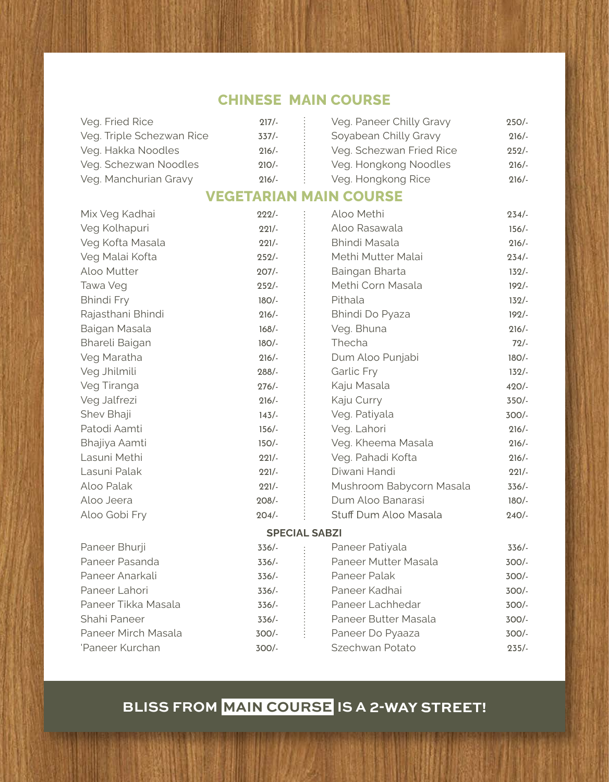### **CHINESE MAIN COURSE**

| Veg. Fried Rice           | 217/    | Veg. Paneer Chilly Gravy | 250/ |
|---------------------------|---------|--------------------------|------|
| Veg. Triple Schezwan Rice | 337/    | Soyabean Chilly Gravy    | 216/ |
| Veg. Hakka Noodles        | $216/-$ | Veg. Schezwan Fried Rice | 252/ |
| Veg. Schezwan Noodles     | $210/-$ | Veg. Hongkong Noodles    | 216/ |
| Veg. Manchurian Gravy     | $216/-$ | Veg. Hongkong Rice       | 216/ |

#### **VEGETARIAN MAIN COURSE**

| 222/     |                          | $234/-$                            |
|----------|--------------------------|------------------------------------|
| $221/-$  | Aloo Rasawala            | $156/-$                            |
| $221/-$  | <b>Bhindi Masala</b>     | $216/-$                            |
| 252/     | Methi Mutter Malai       | $234/-$                            |
| $207/$ - | Baingan Bharta           | $132/-$                            |
| 252/     | Methi Corn Masala        | $192/-$                            |
| $180/-$  | Pithala                  | $132/-$                            |
| 216/     | Bhindi Do Pyaza          | $192/-$                            |
| $168/$ - | Veg. Bhuna               | $216/-$                            |
| $180/-$  | Thecha                   | $72/-$                             |
| 216/     | Dum Aloo Punjabi         | $180/-$                            |
| $288/-$  | <b>Garlic Fry</b>        | $132/-$                            |
| $276/-$  | Kaju Masala              | $420/-$                            |
| $216/-$  | Kaju Curry               | $350/-$                            |
| 143/     | Veg. Patiyala            | $300/-$                            |
| $156/-$  | Veg. Lahori              | $216/-$                            |
| $150/-$  | Veg. Kheema Masala       | $216/-$                            |
| $221/-$  | Veg. Pahadi Kofta        | $216/-$                            |
| $221/-$  | Diwani Handi             | $221/-$                            |
| $221/-$  | Mushroom Babycorn Masala | $336/-$                            |
| $208/-$  | Dum Aloo Banarasi        | $180/-$                            |
| $204/-$  | Stuff Dum Aloo Masala    | $240/-$                            |
|          |                          |                                    |
| $336/-$  | Paneer Patiyala          | $336/-$                            |
| $336/-$  | Paneer Mutter Masala     | $300/-$                            |
| $336/-$  | Paneer Palak             | $300/-$                            |
| $336/-$  | Paneer Kadhai            | $300/-$                            |
| $336/$ - | Paneer Lachhedar         | $300/-$                            |
| $336/-$  | Paneer Butter Masala     | $300/-$                            |
| $300/-$  | Paneer Do Pyaaza         | $300/-$                            |
| $300/-$  | Szechwan Potato          | $235/-$                            |
|          |                          | Aloo Methi<br><b>SPECIAL SABZI</b> |

# **BLISS FROM MAIN COURSE IS A 2-WAY STREET!**